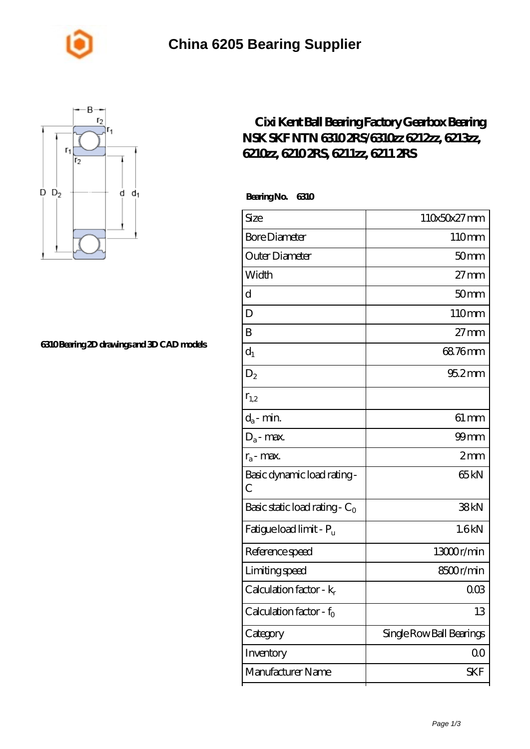



## **[6310 Bearing 2D drawings and 3D CAD models](https://m.johnny-light.com/pic-624270.html)**

## **[Cixi Kent Ball Bearing Factory Gearbox Bearing](https://m.johnny-light.com/nsk-6211-bearing/skf-6310/) [NSK SKF NTN 6310 2RS/6310zz 6212zz, 6213zz,](https://m.johnny-light.com/nsk-6211-bearing/skf-6310/) [6210zz, 6210 2RS, 6211zz, 6211 2RS](https://m.johnny-light.com/nsk-6211-bearing/skf-6310/)**

 **Bearing No. 6310**

| Size                             | 110x50x27mm              |
|----------------------------------|--------------------------|
| <b>Bore Diameter</b>             | 110mm                    |
| Outer Diameter                   | 50 <sub>mm</sub>         |
| Width                            | $27 \text{mm}$           |
| d                                | 50 <sub>mm</sub>         |
| D                                | 110mm                    |
| B                                | $27 \text{mm}$           |
| $d_1$                            | 68.76mm                  |
| $D_2$                            | $952$ <sub>mm</sub>      |
| $r_{1,2}$                        |                          |
| $d_a$ - min.                     | $61 \, \text{mm}$        |
| $D_a$ - max.                     | $99$ mm                  |
| $r_a$ - max.                     | 2mm                      |
| Basic dynamic load rating-<br>C  | 65 <sub>kN</sub>         |
| Basic static load rating - $C_0$ | 38kN                     |
| Fatigue load limit - Pu          | 1.6kN                    |
| Reference speed                  | 13000r/min               |
| Limiting speed                   | 8500r/min                |
| Calculation factor - $k_r$       | $00\%$                   |
| Calculation factor - $f_0$       | 13                       |
| Category                         | Single Row Ball Bearings |
| Inventory                        | 00                       |
| Manufacturer Name                | SKF                      |
|                                  |                          |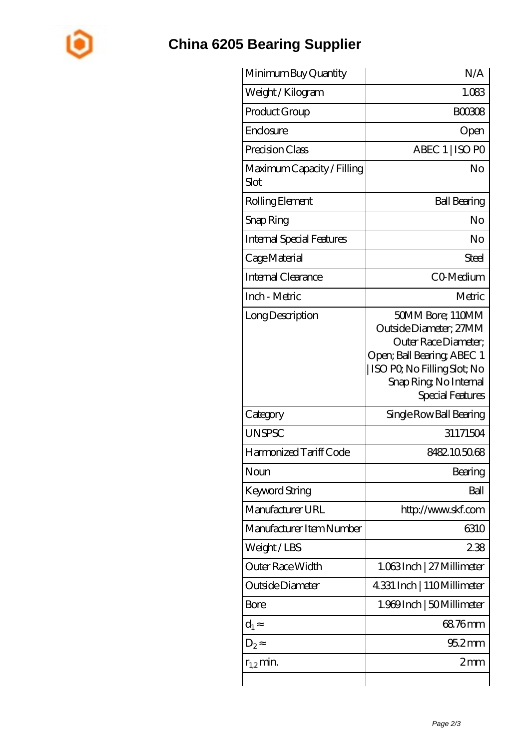

## **[China 6205 Bearing Supplier](https://m.johnny-light.com)**

| Minimum Buy Quantity               | N/A                                                                                                                                                                            |
|------------------------------------|--------------------------------------------------------------------------------------------------------------------------------------------------------------------------------|
| Weight / Kilogram                  | 1.083                                                                                                                                                                          |
| Product Group                      | <b>BOO308</b>                                                                                                                                                                  |
| Enclosure                          | Open                                                                                                                                                                           |
| Precision Class                    | ABEC 1   ISO PO                                                                                                                                                                |
| Maximum Capacity / Filling<br>Slot | No                                                                                                                                                                             |
| Rolling Element                    | <b>Ball Bearing</b>                                                                                                                                                            |
| Snap Ring                          | No                                                                                                                                                                             |
| Internal Special Features          | No                                                                                                                                                                             |
| Cage Material                      | Steel                                                                                                                                                                          |
| Internal Clearance                 | CO-Medium                                                                                                                                                                      |
| Inch - Metric                      | Metric                                                                                                                                                                         |
| Long Description                   | 50MM Bore; 110MM<br>Outside Diameter; 27MM<br>Outer Race Diameter;<br>Open; Ball Bearing; ABEC 1<br>  ISO PQ No Filling Slot; No<br>Snap Ring, No Internal<br>Special Features |
| Category                           | Single Row Ball Bearing                                                                                                                                                        |
| <b>UNSPSC</b>                      | 31171504                                                                                                                                                                       |
| Harmonized Tariff Code             | 8482105068                                                                                                                                                                     |
| Noun                               | Bearing                                                                                                                                                                        |
| Keyword String                     | Ball                                                                                                                                                                           |
| Manufacturer URL                   | http://www.skf.com                                                                                                                                                             |
| Manufacturer Item Number           | 6310                                                                                                                                                                           |
| Weight/LBS                         | 238                                                                                                                                                                            |
| Outer Race Width                   | 1.063Inch   27 Millimeter                                                                                                                                                      |
| Outside Diameter                   | 4331 Inch   110Millimeter                                                                                                                                                      |
| Bore                               | 1.969 Inch   50 Millimeter                                                                                                                                                     |
| $d_1$                              | 68.76mm                                                                                                                                                                        |
| $D_2$                              | $952$ <sub>mm</sub>                                                                                                                                                            |
| $r_{1,2}$ min.                     | 2mm                                                                                                                                                                            |
|                                    |                                                                                                                                                                                |